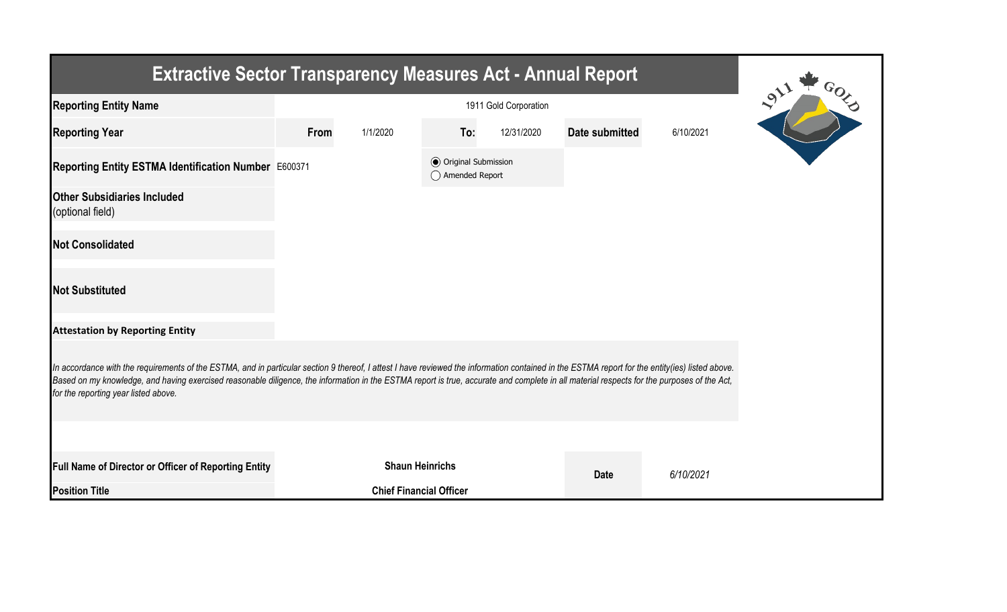| <b>Extractive Sector Transparency Measures Act - Annual Report</b>                                                                                                                                                                                                                                                                                                                                                                    |      |                                |                                                  |            |                |           |  |  |  |  |
|---------------------------------------------------------------------------------------------------------------------------------------------------------------------------------------------------------------------------------------------------------------------------------------------------------------------------------------------------------------------------------------------------------------------------------------|------|--------------------------------|--------------------------------------------------|------------|----------------|-----------|--|--|--|--|
| <b>Reporting Entity Name</b>                                                                                                                                                                                                                                                                                                                                                                                                          |      |                                |                                                  |            |                |           |  |  |  |  |
| <b>Reporting Year</b>                                                                                                                                                                                                                                                                                                                                                                                                                 | From | 1/1/2020                       | To:                                              | 12/31/2020 | Date submitted | 6/10/2021 |  |  |  |  |
| Reporting Entity ESTMA Identification Number E600371                                                                                                                                                                                                                                                                                                                                                                                  |      |                                | <b>◎</b> Original Submission<br>◯ Amended Report |            |                |           |  |  |  |  |
| <b>Other Subsidiaries Included</b><br>(optional field)                                                                                                                                                                                                                                                                                                                                                                                |      |                                |                                                  |            |                |           |  |  |  |  |
| <b>Not Consolidated</b>                                                                                                                                                                                                                                                                                                                                                                                                               |      |                                |                                                  |            |                |           |  |  |  |  |
| <b>Not Substituted</b>                                                                                                                                                                                                                                                                                                                                                                                                                |      |                                |                                                  |            |                |           |  |  |  |  |
| <b>Attestation by Reporting Entity</b>                                                                                                                                                                                                                                                                                                                                                                                                |      |                                |                                                  |            |                |           |  |  |  |  |
| In accordance with the requirements of the ESTMA, and in particular section 9 thereof, I attest I have reviewed the information contained in the ESTMA report for the entity(ies) listed above.<br>Based on my knowledge, and having exercised reasonable diligence, the information in the ESTMA report is true, accurate and complete in all material respects for the purposes of the Act,<br>for the reporting year listed above. |      |                                |                                                  |            |                |           |  |  |  |  |
|                                                                                                                                                                                                                                                                                                                                                                                                                                       |      |                                |                                                  |            |                |           |  |  |  |  |
| Full Name of Director or Officer of Reporting Entity                                                                                                                                                                                                                                                                                                                                                                                  |      | <b>Shaun Heinrichs</b>         |                                                  |            | <b>Date</b>    | 6/10/2021 |  |  |  |  |
| <b>Position Title</b>                                                                                                                                                                                                                                                                                                                                                                                                                 |      | <b>Chief Financial Officer</b> |                                                  |            |                |           |  |  |  |  |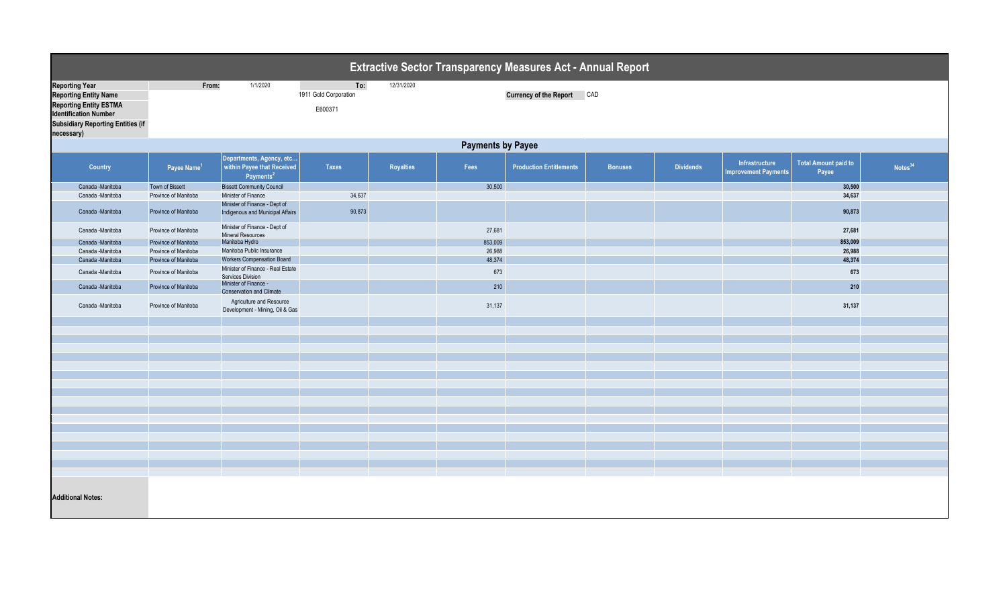| <b>Extractive Sector Transparency Measures Act - Annual Report</b> |                          |                                                                                 |                       |                  |         |                                |                |                  |                                               |                                      |                     |  |  |
|--------------------------------------------------------------------|--------------------------|---------------------------------------------------------------------------------|-----------------------|------------------|---------|--------------------------------|----------------|------------------|-----------------------------------------------|--------------------------------------|---------------------|--|--|
| <b>Reporting Year</b>                                              | From:                    | 1/1/2020                                                                        | To:                   | 12/31/2020       |         |                                |                |                  |                                               |                                      |                     |  |  |
| <b>Reporting Entity Name</b>                                       |                          |                                                                                 | 1911 Gold Corporation |                  |         | <b>Currency of the Report</b>  | CAD            |                  |                                               |                                      |                     |  |  |
| <b>Reporting Entity ESTMA</b>                                      |                          |                                                                                 |                       |                  |         |                                |                |                  |                                               |                                      |                     |  |  |
| <b>Identification Number</b>                                       |                          |                                                                                 | E600371               |                  |         |                                |                |                  |                                               |                                      |                     |  |  |
| <b>Subsidiary Reporting Entities (if</b>                           |                          |                                                                                 |                       |                  |         |                                |                |                  |                                               |                                      |                     |  |  |
| necessary)                                                         |                          |                                                                                 |                       |                  |         |                                |                |                  |                                               |                                      |                     |  |  |
|                                                                    |                          |                                                                                 |                       |                  |         |                                |                |                  |                                               |                                      |                     |  |  |
|                                                                    | <b>Payments by Payee</b> |                                                                                 |                       |                  |         |                                |                |                  |                                               |                                      |                     |  |  |
| <b>Country</b>                                                     | Payee Name <sup>1</sup>  | Departments, Agency, etc<br>within Payee that Received<br>Payments <sup>2</sup> | <b>Taxes</b>          | <b>Royalties</b> | Fees    | <b>Production Entitlements</b> | <b>Bonuses</b> | <b>Dividends</b> | Infrastructure<br><b>Improvement Payments</b> | <b>Total Amount paid to</b><br>Payee | Notes <sup>34</sup> |  |  |
| Canada -Manitoba                                                   | Town of Bissett          | <b>Bissett Community Council</b>                                                |                       |                  | 30,500  |                                |                |                  |                                               | 30,500                               |                     |  |  |
| Canada - Manitoba                                                  | Province of Manitoba     | Minister of Finance                                                             | 34,637                |                  |         |                                |                |                  |                                               | 34,637                               |                     |  |  |
| Canada -Manitoba                                                   | Province of Manitoba     | Minister of Finance - Dept of<br>Indigenous and Municipal Affairs               | 90,873                |                  |         |                                |                |                  |                                               | 90,873                               |                     |  |  |
| Canada -Manitoba                                                   | Province of Manitoba     | Minister of Finance - Dept of<br><b>Mineral Resources</b>                       |                       |                  | 27,681  |                                |                |                  |                                               | 27,681                               |                     |  |  |
| Canada -Manitoba                                                   | Province of Manitoba     | Manitoba Hydro                                                                  |                       |                  | 853,009 |                                |                |                  |                                               | 853,009                              |                     |  |  |
| Canada -Manitoba                                                   | Province of Manitoba     | Manitoba Public Insurance                                                       |                       |                  | 26,988  |                                |                |                  |                                               | 26,988                               |                     |  |  |
| Canada -Manitoba                                                   | Province of Manitoba     | <b>Workers Compensation Board</b>                                               |                       |                  | 48,374  |                                |                |                  |                                               | 48,374                               |                     |  |  |
| Canada -Manitoba                                                   | Province of Manitoba     | Minister of Finance - Real Estate<br>Services Division                          |                       |                  | 673     |                                |                |                  |                                               | 673                                  |                     |  |  |
| Canada -Manitoba                                                   | Province of Manitoba     | Minister of Finance -<br><b>Conservation and Climate</b>                        |                       |                  | 210     |                                |                |                  |                                               | 210                                  |                     |  |  |
| Canada -Manitoba                                                   | Province of Manitoba     | Agriculture and Resource<br>Development - Mining, Oil & Gas                     |                       |                  | 31,137  |                                |                |                  |                                               | 31,137                               |                     |  |  |
|                                                                    |                          |                                                                                 |                       |                  |         |                                |                |                  |                                               |                                      |                     |  |  |
|                                                                    |                          |                                                                                 |                       |                  |         |                                |                |                  |                                               |                                      |                     |  |  |
|                                                                    |                          |                                                                                 |                       |                  |         |                                |                |                  |                                               |                                      |                     |  |  |
|                                                                    |                          |                                                                                 |                       |                  |         |                                |                |                  |                                               |                                      |                     |  |  |
|                                                                    |                          |                                                                                 |                       |                  |         |                                |                |                  |                                               |                                      |                     |  |  |
|                                                                    |                          |                                                                                 |                       |                  |         |                                |                |                  |                                               |                                      |                     |  |  |
|                                                                    |                          |                                                                                 |                       |                  |         |                                |                |                  |                                               |                                      |                     |  |  |
|                                                                    |                          |                                                                                 |                       |                  |         |                                |                |                  |                                               |                                      |                     |  |  |
|                                                                    |                          |                                                                                 |                       |                  |         |                                |                |                  |                                               |                                      |                     |  |  |
|                                                                    |                          |                                                                                 |                       |                  |         |                                |                |                  |                                               |                                      |                     |  |  |
|                                                                    |                          |                                                                                 |                       |                  |         |                                |                |                  |                                               |                                      |                     |  |  |
|                                                                    |                          |                                                                                 |                       |                  |         |                                |                |                  |                                               |                                      |                     |  |  |
|                                                                    |                          |                                                                                 |                       |                  |         |                                |                |                  |                                               |                                      |                     |  |  |
|                                                                    |                          |                                                                                 |                       |                  |         |                                |                |                  |                                               |                                      |                     |  |  |
|                                                                    |                          |                                                                                 |                       |                  |         |                                |                |                  |                                               |                                      |                     |  |  |
|                                                                    |                          |                                                                                 |                       |                  |         |                                |                |                  |                                               |                                      |                     |  |  |
|                                                                    |                          |                                                                                 |                       |                  |         |                                |                |                  |                                               |                                      |                     |  |  |
| <b>Additional Notes:</b>                                           |                          |                                                                                 |                       |                  |         |                                |                |                  |                                               |                                      |                     |  |  |